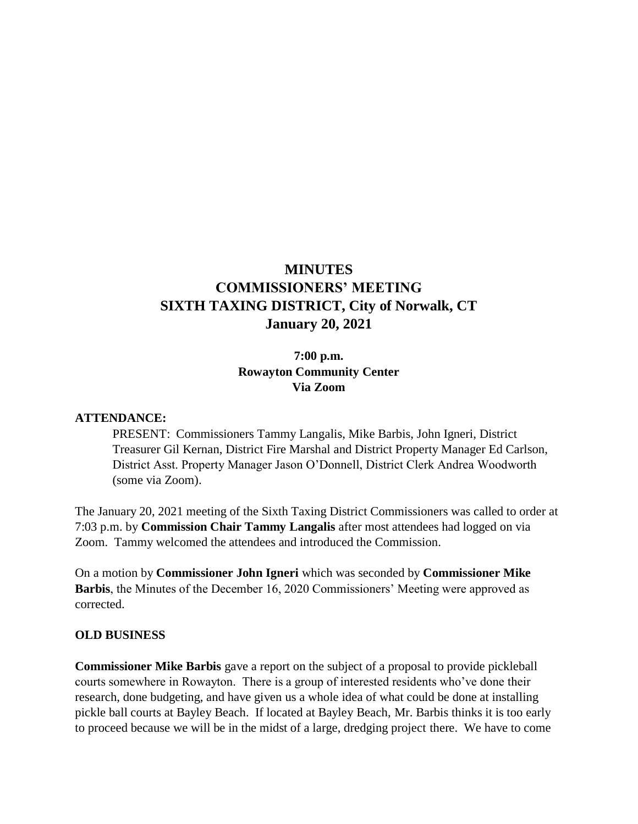# **MINUTES COMMISSIONERS' MEETING SIXTH TAXING DISTRICT, City of Norwalk, CT January 20, 2021**

### **7:00 p.m. Rowayton Community Center Via Zoom**

#### **ATTENDANCE:**

PRESENT: Commissioners Tammy Langalis, Mike Barbis, John Igneri, District Treasurer Gil Kernan, District Fire Marshal and District Property Manager Ed Carlson, District Asst. Property Manager Jason O'Donnell, District Clerk Andrea Woodworth (some via Zoom).

The January 20, 2021 meeting of the Sixth Taxing District Commissioners was called to order at 7:03 p.m. by **Commission Chair Tammy Langalis** after most attendees had logged on via Zoom. Tammy welcomed the attendees and introduced the Commission.

On a motion by **Commissioner John Igneri** which was seconded by **Commissioner Mike Barbis**, the Minutes of the December 16, 2020 Commissioners' Meeting were approved as corrected.

#### **OLD BUSINESS**

**Commissioner Mike Barbis** gave a report on the subject of a proposal to provide pickleball courts somewhere in Rowayton. There is a group of interested residents who've done their research, done budgeting, and have given us a whole idea of what could be done at installing pickle ball courts at Bayley Beach. If located at Bayley Beach, Mr. Barbis thinks it is too early to proceed because we will be in the midst of a large, dredging project there. We have to come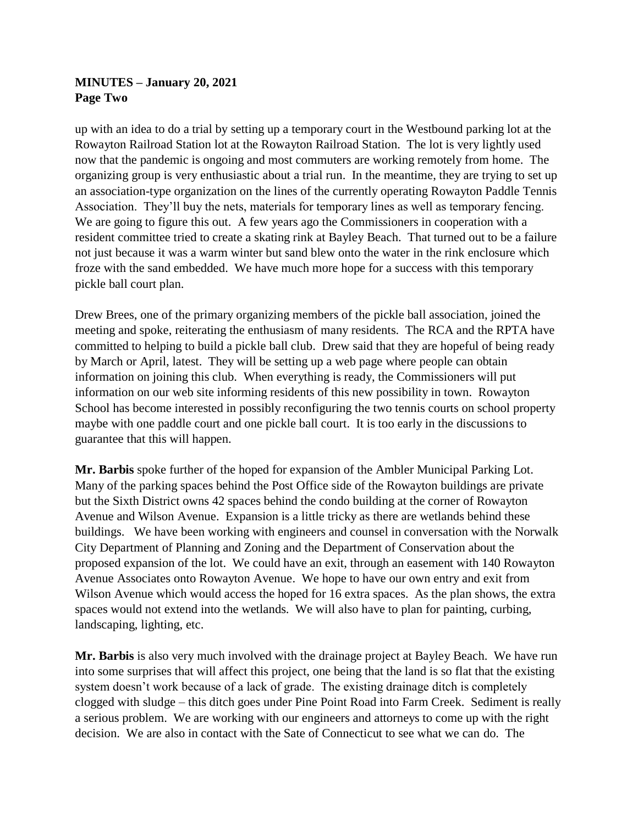## **MINUTES – January 20, 2021 Page Two**

up with an idea to do a trial by setting up a temporary court in the Westbound parking lot at the Rowayton Railroad Station lot at the Rowayton Railroad Station. The lot is very lightly used now that the pandemic is ongoing and most commuters are working remotely from home. The organizing group is very enthusiastic about a trial run. In the meantime, they are trying to set up an association-type organization on the lines of the currently operating Rowayton Paddle Tennis Association. They'll buy the nets, materials for temporary lines as well as temporary fencing. We are going to figure this out. A few years ago the Commissioners in cooperation with a resident committee tried to create a skating rink at Bayley Beach. That turned out to be a failure not just because it was a warm winter but sand blew onto the water in the rink enclosure which froze with the sand embedded. We have much more hope for a success with this temporary pickle ball court plan.

Drew Brees, one of the primary organizing members of the pickle ball association, joined the meeting and spoke, reiterating the enthusiasm of many residents. The RCA and the RPTA have committed to helping to build a pickle ball club. Drew said that they are hopeful of being ready by March or April, latest. They will be setting up a web page where people can obtain information on joining this club. When everything is ready, the Commissioners will put information on our web site informing residents of this new possibility in town. Rowayton School has become interested in possibly reconfiguring the two tennis courts on school property maybe with one paddle court and one pickle ball court. It is too early in the discussions to guarantee that this will happen.

**Mr. Barbis** spoke further of the hoped for expansion of the Ambler Municipal Parking Lot. Many of the parking spaces behind the Post Office side of the Rowayton buildings are private but the Sixth District owns 42 spaces behind the condo building at the corner of Rowayton Avenue and Wilson Avenue. Expansion is a little tricky as there are wetlands behind these buildings. We have been working with engineers and counsel in conversation with the Norwalk City Department of Planning and Zoning and the Department of Conservation about the proposed expansion of the lot. We could have an exit, through an easement with 140 Rowayton Avenue Associates onto Rowayton Avenue. We hope to have our own entry and exit from Wilson Avenue which would access the hoped for 16 extra spaces. As the plan shows, the extra spaces would not extend into the wetlands. We will also have to plan for painting, curbing, landscaping, lighting, etc.

**Mr. Barbis** is also very much involved with the drainage project at Bayley Beach. We have run into some surprises that will affect this project, one being that the land is so flat that the existing system doesn't work because of a lack of grade. The existing drainage ditch is completely clogged with sludge – this ditch goes under Pine Point Road into Farm Creek. Sediment is really a serious problem. We are working with our engineers and attorneys to come up with the right decision. We are also in contact with the Sate of Connecticut to see what we can do. The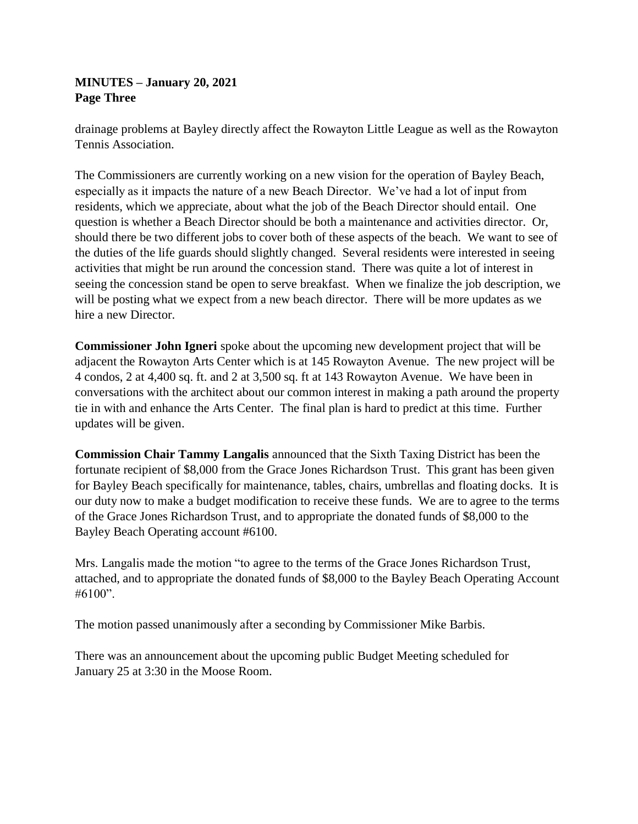### **MINUTES – January 20, 2021 Page Three**

drainage problems at Bayley directly affect the Rowayton Little League as well as the Rowayton Tennis Association.

The Commissioners are currently working on a new vision for the operation of Bayley Beach, especially as it impacts the nature of a new Beach Director. We've had a lot of input from residents, which we appreciate, about what the job of the Beach Director should entail. One question is whether a Beach Director should be both a maintenance and activities director. Or, should there be two different jobs to cover both of these aspects of the beach. We want to see of the duties of the life guards should slightly changed. Several residents were interested in seeing activities that might be run around the concession stand. There was quite a lot of interest in seeing the concession stand be open to serve breakfast. When we finalize the job description, we will be posting what we expect from a new beach director. There will be more updates as we hire a new Director.

**Commissioner John Igneri** spoke about the upcoming new development project that will be adjacent the Rowayton Arts Center which is at 145 Rowayton Avenue. The new project will be 4 condos, 2 at 4,400 sq. ft. and 2 at 3,500 sq. ft at 143 Rowayton Avenue. We have been in conversations with the architect about our common interest in making a path around the property tie in with and enhance the Arts Center. The final plan is hard to predict at this time. Further updates will be given.

**Commission Chair Tammy Langalis** announced that the Sixth Taxing District has been the fortunate recipient of \$8,000 from the Grace Jones Richardson Trust. This grant has been given for Bayley Beach specifically for maintenance, tables, chairs, umbrellas and floating docks. It is our duty now to make a budget modification to receive these funds. We are to agree to the terms of the Grace Jones Richardson Trust, and to appropriate the donated funds of \$8,000 to the Bayley Beach Operating account #6100.

Mrs. Langalis made the motion "to agree to the terms of the Grace Jones Richardson Trust, attached, and to appropriate the donated funds of \$8,000 to the Bayley Beach Operating Account  $#6100"$ .

The motion passed unanimously after a seconding by Commissioner Mike Barbis.

There was an announcement about the upcoming public Budget Meeting scheduled for January 25 at 3:30 in the Moose Room.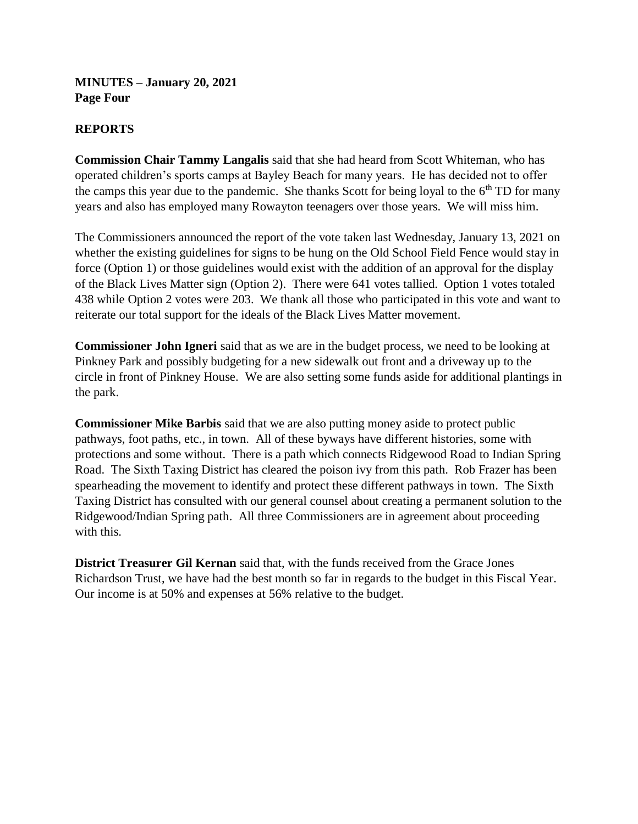**MINUTES – January 20, 2021 Page Four**

### **REPORTS**

**Commission Chair Tammy Langalis** said that she had heard from Scott Whiteman, who has operated children's sports camps at Bayley Beach for many years. He has decided not to offer the camps this year due to the pandemic. She thanks Scott for being loyal to the  $6<sup>th</sup>$  TD for many years and also has employed many Rowayton teenagers over those years. We will miss him.

The Commissioners announced the report of the vote taken last Wednesday, January 13, 2021 on whether the existing guidelines for signs to be hung on the Old School Field Fence would stay in force (Option 1) or those guidelines would exist with the addition of an approval for the display of the Black Lives Matter sign (Option 2). There were 641 votes tallied. Option 1 votes totaled 438 while Option 2 votes were 203. We thank all those who participated in this vote and want to reiterate our total support for the ideals of the Black Lives Matter movement.

**Commissioner John Igneri** said that as we are in the budget process, we need to be looking at Pinkney Park and possibly budgeting for a new sidewalk out front and a driveway up to the circle in front of Pinkney House. We are also setting some funds aside for additional plantings in the park.

**Commissioner Mike Barbis** said that we are also putting money aside to protect public pathways, foot paths, etc., in town. All of these byways have different histories, some with protections and some without. There is a path which connects Ridgewood Road to Indian Spring Road. The Sixth Taxing District has cleared the poison ivy from this path. Rob Frazer has been spearheading the movement to identify and protect these different pathways in town. The Sixth Taxing District has consulted with our general counsel about creating a permanent solution to the Ridgewood/Indian Spring path. All three Commissioners are in agreement about proceeding with this.

**District Treasurer Gil Kernan** said that, with the funds received from the Grace Jones Richardson Trust, we have had the best month so far in regards to the budget in this Fiscal Year. Our income is at 50% and expenses at 56% relative to the budget.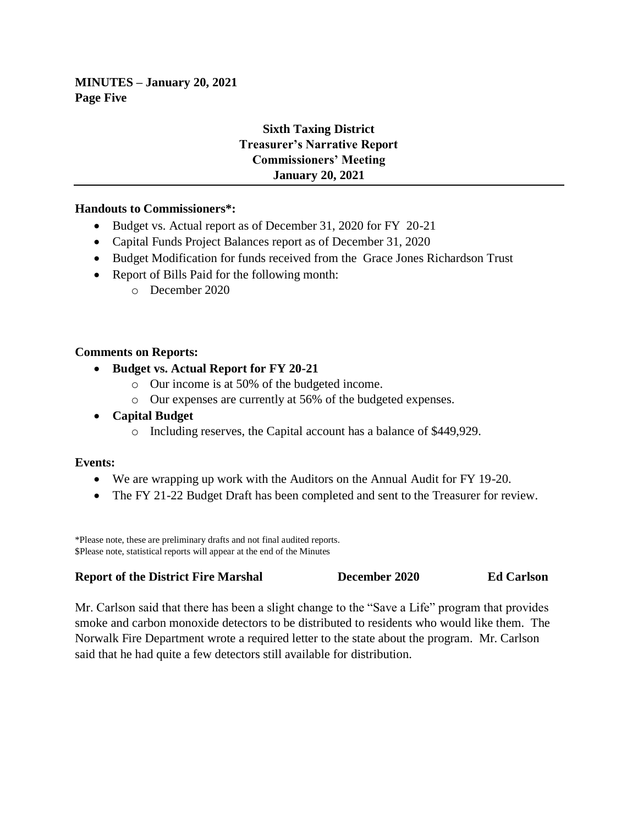**MINUTES – January 20, 2021 Page Five**

# **Sixth Taxing District Treasurer's Narrative Report Commissioners' Meeting January 20, 2021**

### **Handouts to Commissioners\*:**

- Budget vs. Actual report as of December 31, 2020 for FY 20-21
- Capital Funds Project Balances report as of December 31, 2020
- Budget Modification for funds received from the Grace Jones Richardson Trust
- Report of Bills Paid for the following month:
	- o December 2020

#### **Comments on Reports:**

- **Budget vs. Actual Report for FY 20-21**
	- o Our income is at 50% of the budgeted income.
	- o Our expenses are currently at 56% of the budgeted expenses.
- **Capital Budget**
	- o Including reserves, the Capital account has a balance of \$449,929.

### **Events:**

- We are wrapping up work with the Auditors on the Annual Audit for FY 19-20.
- The FY 21-22 Budget Draft has been completed and sent to the Treasurer for review.

\*Please note, these are preliminary drafts and not final audited reports. \$Please note, statistical reports will appear at the end of the Minutes

| <b>Report of the District Fire Marshal</b> | December 2020 | <b>Ed Carlson</b> |
|--------------------------------------------|---------------|-------------------|
|--------------------------------------------|---------------|-------------------|

Mr. Carlson said that there has been a slight change to the "Save a Life" program that provides smoke and carbon monoxide detectors to be distributed to residents who would like them. The Norwalk Fire Department wrote a required letter to the state about the program. Mr. Carlson said that he had quite a few detectors still available for distribution.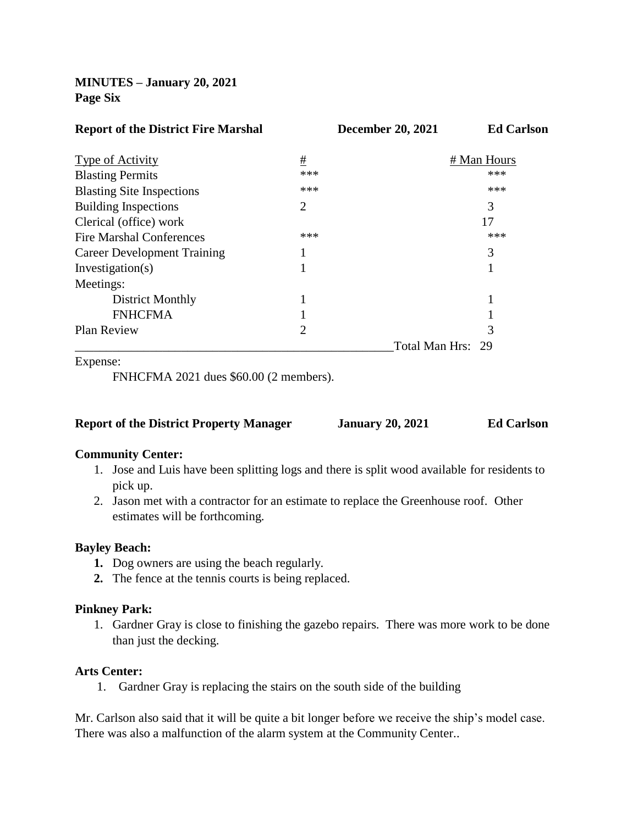**MINUTES – January 20, 2021 Page Six**

| <b>Report of the District Fire Marshal</b> |                | <b>December 20, 2021</b> | <b>Ed Carlson</b> |
|--------------------------------------------|----------------|--------------------------|-------------------|
| Type of Activity                           | #              |                          | # Man Hours       |
| <b>Blasting Permits</b>                    | ***            |                          | ***               |
| <b>Blasting Site Inspections</b>           | ***            |                          | ***               |
| <b>Building Inspections</b>                | $\overline{2}$ |                          | 3                 |
| Clerical (office) work                     |                |                          | 17                |
| <b>Fire Marshal Conferences</b>            | ***            |                          | ***               |
| <b>Career Development Training</b>         |                |                          | 3                 |
| Investigation(s)                           |                |                          |                   |
| Meetings:                                  |                |                          |                   |
| <b>District Monthly</b>                    |                |                          |                   |
| <b>FNHCFMA</b>                             |                |                          |                   |
| <b>Plan Review</b>                         | $\overline{2}$ |                          | 3                 |
|                                            |                |                          | Total Man Hrs: 29 |
|                                            |                |                          |                   |

Expense:

FNHCFMA 2021 dues \$60.00 (2 members).

| <b>Report of the District Property Manager</b> | <b>January 20, 2021</b> | <b>Ed Carlson</b> |
|------------------------------------------------|-------------------------|-------------------|
|------------------------------------------------|-------------------------|-------------------|

### **Community Center:**

- 1. Jose and Luis have been splitting logs and there is split wood available for residents to pick up.
- 2. Jason met with a contractor for an estimate to replace the Greenhouse roof. Other estimates will be forthcoming.

#### **Bayley Beach:**

- **1.** Dog owners are using the beach regularly.
- **2.** The fence at the tennis courts is being replaced.

### **Pinkney Park:**

1. Gardner Gray is close to finishing the gazebo repairs. There was more work to be done than just the decking.

#### **Arts Center:**

1. Gardner Gray is replacing the stairs on the south side of the building

Mr. Carlson also said that it will be quite a bit longer before we receive the ship's model case. There was also a malfunction of the alarm system at the Community Center..